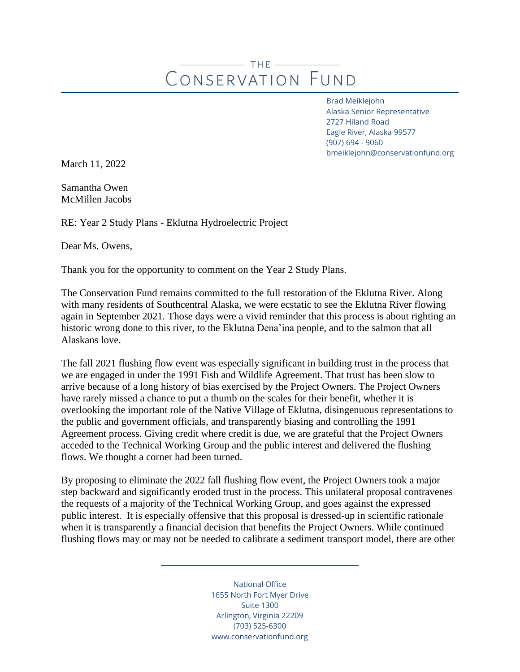## $-$  THE  $-$ CONSERVATION FUND

Brad Meiklejohn Alaska Senior Representative 2727 Hiland Road Eagle River, Alaska 99577 (907) 694 - 9060 bmeiklejohn@conservationfund.org

March 11, 2022

Samantha Owen McMillen Jacobs

RE: Year 2 Study Plans - Eklutna Hydroelectric Project

Dear Ms. Owens,

Thank you for the opportunity to comment on the Year 2 Study Plans.

The Conservation Fund remains committed to the full restoration of the Eklutna River. Along with many residents of Southcentral Alaska, we were ecstatic to see the Eklutna River flowing again in September 2021. Those days were a vivid reminder that this process is about righting an historic wrong done to this river, to the Eklutna Dena'ina people, and to the salmon that all Alaskans love.

The fall 2021 flushing flow event was especially significant in building trust in the process that we are engaged in under the 1991 Fish and Wildlife Agreement. That trust has been slow to arrive because of a long history of bias exercised by the Project Owners. The Project Owners have rarely missed a chance to put a thumb on the scales for their benefit, whether it is overlooking the important role of the Native Village of Eklutna, disingenuous representations to the public and government officials, and transparently biasing and controlling the 1991 Agreement process. Giving credit where credit is due, we are grateful that the Project Owners acceded to the Technical Working Group and the public interest and delivered the flushing flows. We thought a corner had been turned.

By proposing to eliminate the 2022 fall flushing flow event, the Project Owners took a major step backward and significantly eroded trust in the process. This unilateral proposal contravenes the requests of a majority of the Technical Working Group, and goes against the expressed public interest. It is especially offensive that this proposal is dressed-up in scientific rationale when it is transparently a financial decision that benefits the Project Owners. While continued flushing flows may or may not be needed to calibrate a sediment transport model, there are other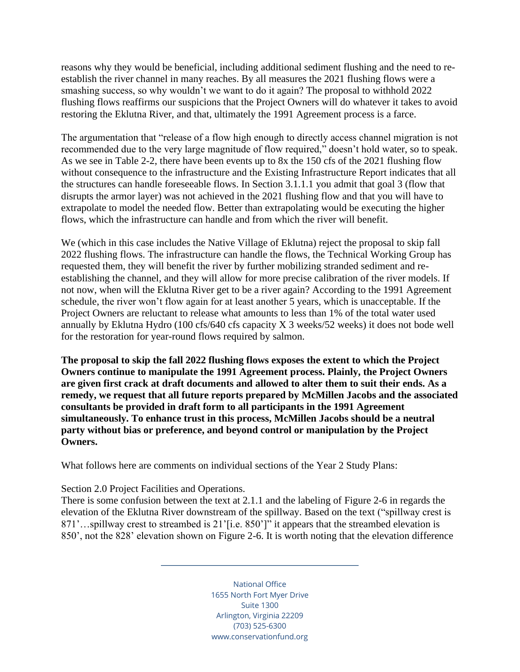reasons why they would be beneficial, including additional sediment flushing and the need to reestablish the river channel in many reaches. By all measures the 2021 flushing flows were a smashing success, so why wouldn't we want to do it again? The proposal to withhold 2022 flushing flows reaffirms our suspicions that the Project Owners will do whatever it takes to avoid restoring the Eklutna River, and that, ultimately the 1991 Agreement process is a farce.

The argumentation that "release of a flow high enough to directly access channel migration is not recommended due to the very large magnitude of flow required," doesn't hold water, so to speak. As we see in Table 2-2, there have been events up to 8x the 150 cfs of the 2021 flushing flow without consequence to the infrastructure and the Existing Infrastructure Report indicates that all the structures can handle foreseeable flows. In Section 3.1.1.1 you admit that goal 3 (flow that disrupts the armor layer) was not achieved in the 2021 flushing flow and that you will have to extrapolate to model the needed flow. Better than extrapolating would be executing the higher flows, which the infrastructure can handle and from which the river will benefit.

We (which in this case includes the Native Village of Eklutna) reject the proposal to skip fall 2022 flushing flows. The infrastructure can handle the flows, the Technical Working Group has requested them, they will benefit the river by further mobilizing stranded sediment and reestablishing the channel, and they will allow for more precise calibration of the river models. If not now, when will the Eklutna River get to be a river again? According to the 1991 Agreement schedule, the river won't flow again for at least another 5 years, which is unacceptable. If the Project Owners are reluctant to release what amounts to less than 1% of the total water used annually by Eklutna Hydro (100 cfs/640 cfs capacity X 3 weeks/52 weeks) it does not bode well for the restoration for year-round flows required by salmon.

**The proposal to skip the fall 2022 flushing flows exposes the extent to which the Project Owners continue to manipulate the 1991 Agreement process. Plainly, the Project Owners are given first crack at draft documents and allowed to alter them to suit their ends. As a remedy, we request that all future reports prepared by McMillen Jacobs and the associated consultants be provided in draft form to all participants in the 1991 Agreement simultaneously. To enhance trust in this process, McMillen Jacobs should be a neutral party without bias or preference, and beyond control or manipulation by the Project Owners.** 

What follows here are comments on individual sections of the Year 2 Study Plans:

## Section 2.0 Project Facilities and Operations.

There is some confusion between the text at 2.1.1 and the labeling of Figure 2-6 in regards the elevation of the Eklutna River downstream of the spillway. Based on the text ("spillway crest is 871'...spillway crest to streambed is 21'[i.e. 850']" it appears that the streambed elevation is 850', not the 828' elevation shown on Figure 2-6. It is worth noting that the elevation difference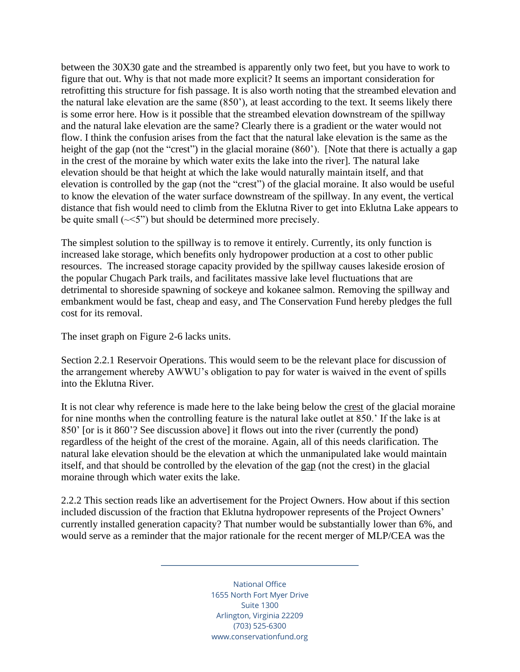between the 30X30 gate and the streambed is apparently only two feet, but you have to work to figure that out. Why is that not made more explicit? It seems an important consideration for retrofitting this structure for fish passage. It is also worth noting that the streambed elevation and the natural lake elevation are the same (850'), at least according to the text. It seems likely there is some error here. How is it possible that the streambed elevation downstream of the spillway and the natural lake elevation are the same? Clearly there is a gradient or the water would not flow. I think the confusion arises from the fact that the natural lake elevation is the same as the height of the gap (not the "crest") in the glacial moraine (860"). [Note that there is actually a gap in the crest of the moraine by which water exits the lake into the river]. The natural lake elevation should be that height at which the lake would naturally maintain itself, and that elevation is controlled by the gap (not the "crest") of the glacial moraine. It also would be useful to know the elevation of the water surface downstream of the spillway. In any event, the vertical distance that fish would need to climb from the Eklutna River to get into Eklutna Lake appears to be quite small  $(\sim 5")$  but should be determined more precisely.

The simplest solution to the spillway is to remove it entirely. Currently, its only function is increased lake storage, which benefits only hydropower production at a cost to other public resources. The increased storage capacity provided by the spillway causes lakeside erosion of the popular Chugach Park trails, and facilitates massive lake level fluctuations that are detrimental to shoreside spawning of sockeye and kokanee salmon. Removing the spillway and embankment would be fast, cheap and easy, and The Conservation Fund hereby pledges the full cost for its removal.

The inset graph on Figure 2-6 lacks units.

Section 2.2.1 Reservoir Operations. This would seem to be the relevant place for discussion of the arrangement whereby AWWU's obligation to pay for water is waived in the event of spills into the Eklutna River.

It is not clear why reference is made here to the lake being below the crest of the glacial moraine for nine months when the controlling feature is the natural lake outlet at 850.' If the lake is at 850' [or is it 860'? See discussion above] it flows out into the river (currently the pond) regardless of the height of the crest of the moraine. Again, all of this needs clarification. The natural lake elevation should be the elevation at which the unmanipulated lake would maintain itself, and that should be controlled by the elevation of the gap (not the crest) in the glacial moraine through which water exits the lake.

2.2.2 This section reads like an advertisement for the Project Owners. How about if this section included discussion of the fraction that Eklutna hydropower represents of the Project Owners' currently installed generation capacity? That number would be substantially lower than 6%, and would serve as a reminder that the major rationale for the recent merger of MLP/CEA was the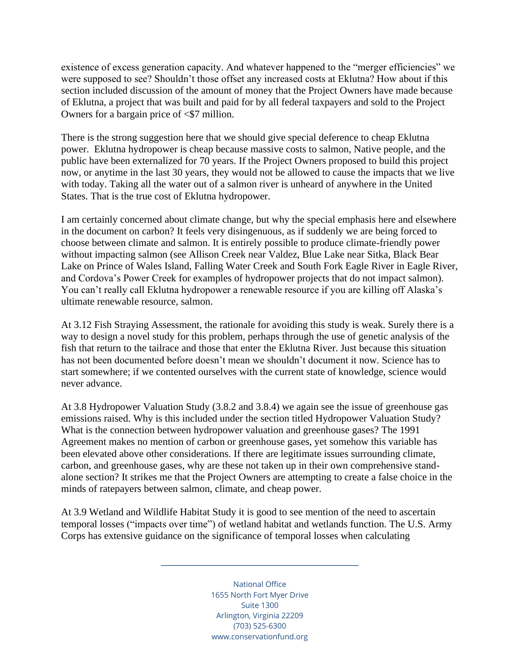existence of excess generation capacity. And whatever happened to the "merger efficiencies" we were supposed to see? Shouldn't those offset any increased costs at Eklutna? How about if this section included discussion of the amount of money that the Project Owners have made because of Eklutna, a project that was built and paid for by all federal taxpayers and sold to the Project Owners for a bargain price of  $\leq$  17 million.

There is the strong suggestion here that we should give special deference to cheap Eklutna power. Eklutna hydropower is cheap because massive costs to salmon, Native people, and the public have been externalized for 70 years. If the Project Owners proposed to build this project now, or anytime in the last 30 years, they would not be allowed to cause the impacts that we live with today. Taking all the water out of a salmon river is unheard of anywhere in the United States. That is the true cost of Eklutna hydropower.

I am certainly concerned about climate change, but why the special emphasis here and elsewhere in the document on carbon? It feels very disingenuous, as if suddenly we are being forced to choose between climate and salmon. It is entirely possible to produce climate-friendly power without impacting salmon (see Allison Creek near Valdez, Blue Lake near Sitka, Black Bear Lake on Prince of Wales Island, Falling Water Creek and South Fork Eagle River in Eagle River, and Cordova's Power Creek for examples of hydropower projects that do not impact salmon). You can't really call Eklutna hydropower a renewable resource if you are killing off Alaska's ultimate renewable resource, salmon.

At 3.12 Fish Straying Assessment, the rationale for avoiding this study is weak. Surely there is a way to design a novel study for this problem, perhaps through the use of genetic analysis of the fish that return to the tailrace and those that enter the Eklutna River. Just because this situation has not been documented before doesn't mean we shouldn't document it now. Science has to start somewhere; if we contented ourselves with the current state of knowledge, science would never advance.

At 3.8 Hydropower Valuation Study (3.8.2 and 3.8.4) we again see the issue of greenhouse gas emissions raised. Why is this included under the section titled Hydropower Valuation Study? What is the connection between hydropower valuation and greenhouse gases? The 1991 Agreement makes no mention of carbon or greenhouse gases, yet somehow this variable has been elevated above other considerations. If there are legitimate issues surrounding climate, carbon, and greenhouse gases, why are these not taken up in their own comprehensive standalone section? It strikes me that the Project Owners are attempting to create a false choice in the minds of ratepayers between salmon, climate, and cheap power.

At 3.9 Wetland and Wildlife Habitat Study it is good to see mention of the need to ascertain temporal losses ("impacts over time") of wetland habitat and wetlands function. The U.S. Army Corps has extensive guidance on the significance of temporal losses when calculating